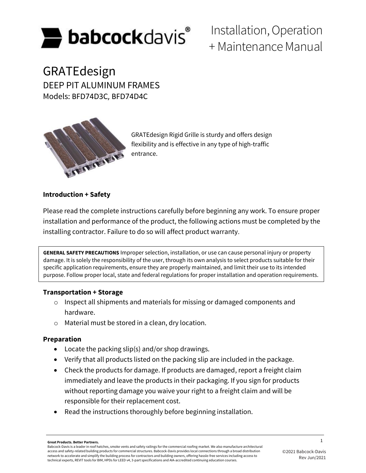

# Installation, Operation + Maintenance Manual

GRATEdesign DEEP PIT ALUMINUM FRAMES Models: BFD74D3C, BFD74D4C



GRATEdesign Rigid Grille is sturdy and offers design flexibility and is effective in any type of high-traffic entrance.

# **Introduction + Safety**

Please read the complete instructions carefully before beginning any work. To ensure proper installation and performance of the product, the following actions must be completed by the installing contractor. Failure to do so will affect product warranty.

**GENERAL SAFETY PRECAUTIONS** Improper selection, installation, or use can cause personal injury or property damage. It is solely the responsibility of the user, through its own analysis to select products suitable for their specific application requirements, ensure they are properly maintained, and limit their use to its intended purpose. Follow proper local, state and federal regulations for proper installation and operation requirements.

# **Transportation + Storage**

- o Inspect all shipments and materials for missing or damaged components and hardware.
- o Material must be stored in a clean, dry location.

# **Preparation**

- Locate the packing slip(s) and/or shop drawings.
- Verify that all products listed on the packing slip are included in the package.
- Check the products for damage. If products are damaged, report a freight claim immediately and leave the products in their packaging. If you sign for products without reporting damage you waive your right to a freight claim and will be responsible for their replacement cost.
- Read the instructions thoroughly before beginning installation.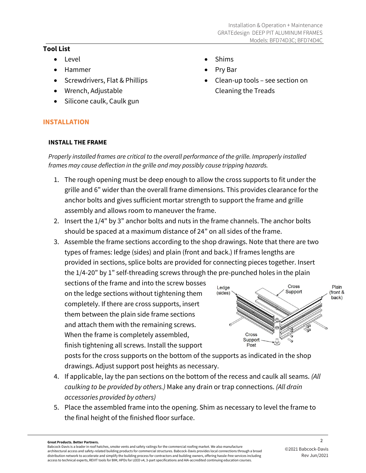• Clean-up tools – see section on

Cleaning the Treads

• Shims • Pry Bar

## **Tool List**

- Level
- Hammer
- Screwdrivers, Flat & Phillips
- Wrench, Adjustable
- Silicone caulk, Caulk gun

# **INSTALLATION**

## **INSTALL THE FRAME**

*Properly installed frames are critical to the overall performance of the grille. Improperly installed frames may cause deflection in the grille and may possibly cause tripping hazards.* 

- 1. The rough opening must be deep enough to allow the cross supports to fit under the grille and 6" wider than the overall frame dimensions. This provides clearance for the anchor bolts and gives sufficient mortar strength to support the frame and grille assembly and allows room to maneuver the frame.
- 2. Insert the 1/4" by 3" anchor bolts and nuts in the frame channels. The anchor bolts should be spaced at a maximum distance of 24" on all sides of the frame.
- 3. Assemble the frame sections according to the shop drawings. Note that there are two types of frames: ledge (sides) and plain (front and back.) If frames lengths are provided in sections, splice bolts are provided for connecting pieces together. Insert the 1/4-20" by 1" self-threading screws through the pre-punched holes in the plain

sections of the frame and into the screw bosses on the ledge sections without tightening them completely. If there are cross supports, insert them between the plain side frame sections and attach them with the remaining screws. When the frame is completely assembled, finish tightening all screws. Install the support



posts for the cross supports on the bottom of the supports as indicated in the shop drawings. Adjust support post heights as necessary.

- 4. If applicable, lay the pan sections on the bottom of the recess and caulk all seams. *(All caulking to be provided by others.)* Make any drain or trap connections. *(All drain accessories provided by others)*
- 5. Place the assembled frame into the opening. Shim as necessary to level the frame to the final height of the finished floor surface.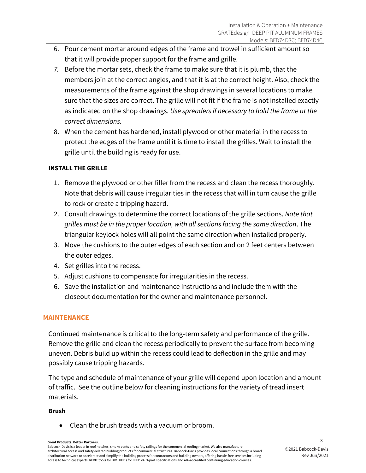- 6. Pour cement mortar around edges of the frame and trowel in sufficient amount so that it will provide proper support for the frame and grille.
- *7.* Before the mortar sets, check the frame to make sure that it is plumb, that the members join at the correct angles, and that it is at the correct height. Also, check the measurements of the frame against the shop drawings in several locations to make sure that the sizes are correct. The grille will not fit if the frame is not installed exactly as indicated on the shop drawings. *Use spreaders if necessary to hold the frame at the correct dimensions.*
- 8. When the cement has hardened, install plywood or other material in the recess to protect the edges of the frame until it is time to install the grilles. Wait to install the grille until the building is ready for use.

## **INSTALL THE GRILLE**

- 1. Remove the plywood or other filler from the recess and clean the recess thoroughly. Note that debris will cause irregularities in the recess that will in turn cause the grille to rock or create a tripping hazard.
- 2. Consult drawings to determine the correct locations of the grille sections. *Note that grilles must be in the proper location, with all sections facing the same direction*. The triangular keylock holes will all point the same direction when installed properly.
- 3. Move the cushions to the outer edges of each section and on 2 feet centers between the outer edges.
- 4. Set grilles into the recess.
- 5. Adjust cushions to compensate for irregularities in the recess.
- 6. Save the installation and maintenance instructions and include them with the closeout documentation for the owner and maintenance personnel.

# **MAINTENANCE**

Continued maintenance is critical to the long-term safety and performance of the grille. Remove the grille and clean the recess periodically to prevent the surface from becoming uneven. Debris build up within the recess could lead to deflection in the grille and may possibly cause tripping hazards.

The type and schedule of maintenance of your grille will depend upon location and amount of traffic. See the outline below for cleaning instructions for the variety of tread insert materials.

### **Brush**

• Clean the brush treads with a vacuum or broom.

Babcock-Davis is a leader in roof hatches, smoke vents and safety railings for the commercial roofing market. We also manufacture architectural access and safety-related building products for commercial structures. Babcock-Davis provides local connections through a broad distribution network to accelerate and simplify the building process for contractors and building owners, offering hassle-free services including access to technical experts, REVIT tools for BIM, HPDs for LEED v4, 3-part specifications and AIA-accredited continuing education courses.

<sup>3</sup> **Great Products. Better Partners.**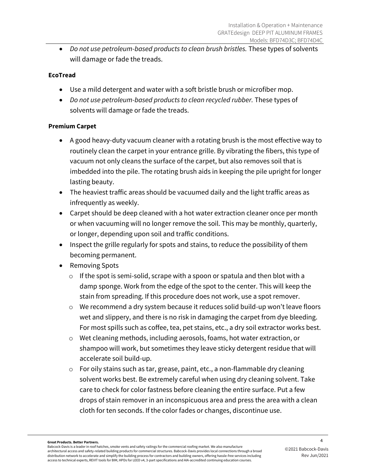• *Do not use petroleum-based products to clean brush bristles.* These types of solvents will damage or fade the treads.

# **EcoTread**

- Use a mild detergent and water with a soft bristle brush or microfiber mop.
- *Do not use petroleum-based products to clean recycled rubber.* These types of solvents will damage or fade the treads.

# **Premium Carpet**

- A good heavy-duty vacuum cleaner with a rotating brush is the most effective way to routinely clean the carpet in your entrance grille. By vibrating the fibers, this type of vacuum not only cleans the surface of the carpet, but also removes soil that is imbedded into the pile. The rotating brush aids in keeping the pile upright for longer lasting beauty.
- The heaviest traffic areas should be vacuumed daily and the light traffic areas as infrequently as weekly.
- Carpet should be deep cleaned with a hot water extraction cleaner once per month or when vacuuming will no longer remove the soil. This may be monthly, quarterly, or longer, depending upon soil and traffic conditions.
- Inspect the grille regularly for spots and stains, to reduce the possibility of them becoming permanent.
- Removing Spots
	- $\circ$  If the spot is semi-solid, scrape with a spoon or spatula and then blot with a damp sponge. Work from the edge of the spot to the center. This will keep the stain from spreading. If this procedure does not work, use a spot remover.
	- o We recommend a dry system because it reduces solid build-up won't leave floors wet and slippery, and there is no risk in damaging the carpet from dye bleeding. For most spills such as coffee, tea, pet stains, etc., a dry soil extractor works best.
	- o Wet cleaning methods, including aerosols, foams, hot water extraction, or shampoo will work, but sometimes they leave sticky detergent residue that will accelerate soil build-up.
	- o For oily stains such as tar, grease, paint, etc., a non-flammable dry cleaning solvent works best. Be extremely careful when using dry cleaning solvent. Take care to check for color fastness before cleaning the entire surface. Put a few drops of stain remover in an inconspicuous area and press the area with a clean cloth for ten seconds. If the color fades or changes, discontinue use.